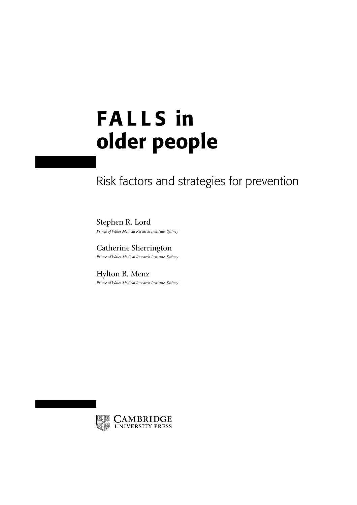# FALLS in older people

## Risk factors and strategies for prevention

Stephen R. Lord *Prince of Wales Medical Research Institute, Sydney*

Catherine Sherrington *Prince of Wales Medical Research Institute, Sydney*

Hylton B. Menz *Prince of Wales Medical Research Institute, Sydney*

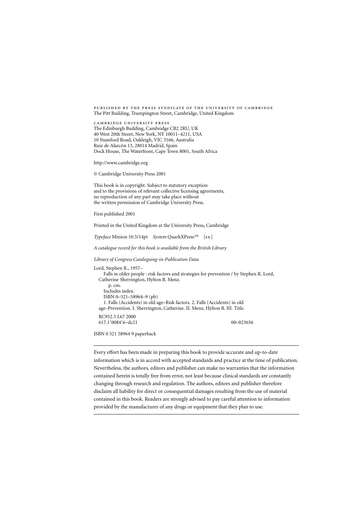PUBLISHED BY THE PRESS SYNDICATE OF THE UNIVERSITY OF CAMBRIDGE The Pitt Building, Trumpington Street, Cambridge, United Kingdom

CAMBRIDGE UNIVERSITY PRESS The Edinburgh Building, Cambridge CB2 2RU, UK 40 West 20th Street, New York, NY 10011–4211, USA 10 Stamford Road, Oakleigh, VIC 3166, Australia Ruiz de Alarcón 13, 28014 Madrid, Spain Dock House, The Waterfront, Cape Town 8001, South Africa

http://www.cambridge.org

© Cambridge University Press 2001

This book is in copyright. Subject to statutory exception and to the provisions of relevant collective licensing agreements, no reproduction of any part may take place without the written permission of Cambridge University Press.

#### First published 2001

Printed in the United Kingdom at the University Press, Cambridge

*Typeface* Minion 10.5/14pt *System* QuarkXPress™ [SE]

*A catalogue record for this book is available from the British Library*

#### *Library of Congress Cataloguing-in-Publication Data*

Lord, Stephen R., 1957– Falls in older people : risk factors and strategies for prevention / by Stephen R. Lord, Catherine Sherrington, Hylton B. Menz. p. cm. Includes index. ISBN 0–521–58964–9 (pb) 1. Falls (Accidents) in old age–Risk factors. 2. Falls (Accidents) in old age–Prevention. I. Sherrington, Catherine. II. Menz, Hylton B. III. Title. RC952.5 L67 2000 617.1'0084'6-dc21 00-023656

ISBN 0 521 58964 9 paperback

Every effort has been made in preparing this book to provide accurate and up-to-date information which is in accord with accepted standards and practice at the time of publication. Nevertheless, the authors, editors and publisher can make no warranties that the information contained herein is totally free from error, not least because clinical standards are constantly changing through research and regulation. The authors, editors and publisher therefore disclaim all liability for direct or consequential damages resulting from the use of material contained in this book. Readers are strongly advised to pay careful attention to information provided by the manufacturer of any drugs or equipment that they plan to use.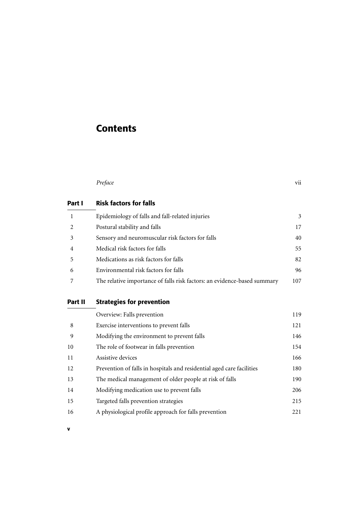## **Contents**

#### *Preface* vii

| Part I | <b>Risk factors for falls</b>                                            |     |
|--------|--------------------------------------------------------------------------|-----|
|        | Epidemiology of falls and fall-related injuries                          | 3   |
| 2      | Postural stability and falls                                             | 17  |
| 3      | Sensory and neuromuscular risk factors for falls                         | 40  |
| 4      | Medical risk factors for falls                                           | 55  |
| 5      | Medications as risk factors for falls                                    | 82  |
| 6      | Environmental risk factors for falls                                     | 96  |
|        | The relative importance of falls risk factors: an evidence-based summary | 107 |

## Part II Strategies for prevention

|    | Overview: Falls prevention                                            | 119 |
|----|-----------------------------------------------------------------------|-----|
| 8  | Exercise interventions to prevent falls                               | 121 |
| 9  | Modifying the environment to prevent falls                            | 146 |
| 10 | The role of footwear in falls prevention                              | 154 |
| 11 | Assistive devices                                                     | 166 |
| 12 | Prevention of falls in hospitals and residential aged care facilities | 180 |
| 13 | The medical management of older people at risk of falls               | 190 |
| 14 | Modifying medication use to prevent falls                             | 206 |
| 15 | Targeted falls prevention strategies                                  | 215 |
| 16 | A physiological profile approach for falls prevention                 | 221 |
|    |                                                                       |     |

v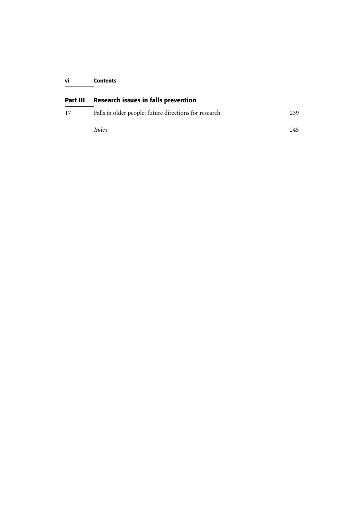#### vi Contents

### Part III Research issues in falls prevention

| 17 | Falls in older people: future directions for research |     |  |  |
|----|-------------------------------------------------------|-----|--|--|
|    | Index                                                 | 245 |  |  |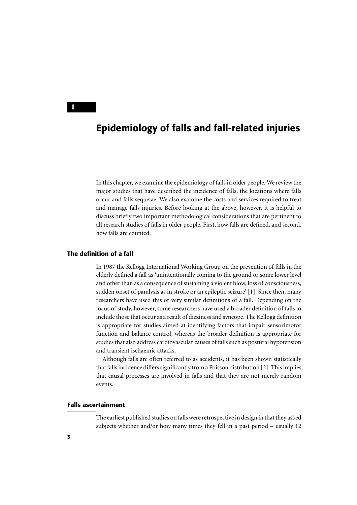## Epidemiology of falls and fall-related injuries

In this chapter, we examine the epidemiology of falls in older people. We review the major studies that have described the incidence of falls, the locations where falls occur and falls sequelae. We also examine the costs and services required to treat and manage falls injuries. Before looking at the above, however, it is helpful to discuss briefly two important methodological considerations that are pertinent to all research studies of falls in older people. First, how falls are defined, and second, how falls are counted.

#### The definition of a fall

In 1987 the Kellogg International Working Group on the prevention of falls in the elderly defined a fall as 'unintentionally coming to the ground or some lower level and other than as a consequence of sustaining a violent blow, loss of consciousness, sudden onset of paralysis as in stroke or an epileptic seizure' [1]. Since then, many researchers have used this or very similar definitions of a fall. Depending on the focus of study, however, some researchers have used a broader definition of falls to include those that occur as a result of dizziness and syncope. The Kellogg definition is appropriate for studies aimed at identifying factors that impair sensorimotor function and balance control, whereas the broader definition is appropriate for studies that also address cardiovascular causes of falls such as postural hypotension and transient ischaemic attacks.

Although falls are often referred to as accidents, it has been shown statistically that falls incidence differs significantly from a Poisson distribution [2]. This implies that causal processes are involved in falls and that they are not merely random events.

#### Falls ascertainment

The earliest published studies on falls were retrospective in design in that they asked subjects whether and/or how many times they fell in a past period – usually 12

#### 1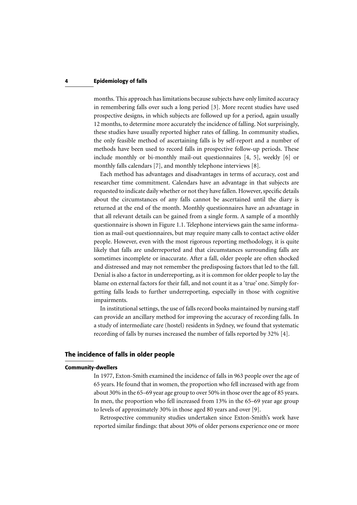months. This approach has limitations because subjects have only limited accuracy in remembering falls over such a long period [3]. More recent studies have used prospective designs, in which subjects are followed up for a period, again usually 12 months, to determine more accurately the incidence of falling. Not surprisingly, these studies have usually reported higher rates of falling. In community studies, the only feasible method of ascertaining falls is by self-report and a number of methods have been used to record falls in prospective follow-up periods. These include monthly or bi-monthly mail-out questionnaires [4, 5], weekly [6] or monthly falls calendars [7], and monthly telephone interviews [8].

Each method has advantages and disadvantages in terms of accuracy, cost and researcher time commitment. Calendars have an advantage in that subjects are requested to indicate daily whether or not they have fallen. However, specific details about the circumstances of any falls cannot be ascertained until the diary is returned at the end of the month. Monthly questionnaires have an advantage in that all relevant details can be gained from a single form. A sample of a monthly questionnaire is shown in Figure 1.1. Telephone interviews gain the same information as mail-out questionnaires, but may require many calls to contact active older people. However, even with the most rigorous reporting methodology, it is quite likely that falls are underreported and that circumstances surrounding falls are sometimes incomplete or inaccurate. After a fall, older people are often shocked and distressed and may not remember the predisposing factors that led to the fall. Denial is also a factor in underreporting, as it is common for older people to lay the blame on external factors for their fall, and not count it as a 'true' one. Simply forgetting falls leads to further underreporting, especially in those with cognitive impairments.

In institutional settings, the use of falls record books maintained by nursing staff can provide an ancillary method for improving the accuracy of recording falls. In a study of intermediate care (hostel) residents in Sydney, we found that systematic recording of falls by nurses increased the number of falls reported by 32% [4].

#### The incidence of falls in older people

#### Community-dwellers

In 1977, Exton-Smith examined the incidence of falls in 963 people over the age of 65 years. He found that in women, the proportion who fell increased with age from about 30% in the 65–69 year age group to over 50% in those over the age of 85 years. In men, the proportion who fell increased from 13% in the 65–69 year age group to levels of approximately 30% in those aged 80 years and over [9].

Retrospective community studies undertaken since Exton-Smith's work have reported similar findings: that about 30% of older persons experience one or more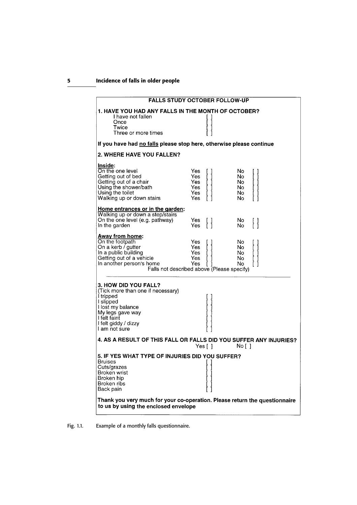| <b>FALLS STUDY OCTOBER FOLLOW-UP</b>                                                                                                                                                          |                                                |           |  |  |                                     |                                        |  |  |  |
|-----------------------------------------------------------------------------------------------------------------------------------------------------------------------------------------------|------------------------------------------------|-----------|--|--|-------------------------------------|----------------------------------------|--|--|--|
| 1. HAVE YOU HAD ANY FALLS IN THE MONTH OF OCTOBER?<br>I have not fallen<br>Once<br>Twice<br>Three or more times                                                                               |                                                |           |  |  |                                     |                                        |  |  |  |
| If you have had no falls please stop here, otherwise please continue                                                                                                                          |                                                |           |  |  |                                     |                                        |  |  |  |
| <b>2. WHERE HAVE YOU FALLEN?</b>                                                                                                                                                              |                                                |           |  |  |                                     |                                        |  |  |  |
| Inside:<br>On the one level<br>Getting out of bed<br>Getting out of a chair<br>Using the shower/bath<br>Using the toilet<br>Walking up or down stairs                                         | Yes:<br>Yes<br>Yes<br>Yes<br>Yes<br>Yes        |           |  |  | No.<br>No.<br>No<br>No<br>No<br>No. | ׀׀׀<br>׀׀׀<br>! !<br>$\mathbf{I}$      |  |  |  |
| Home entrances or in the garden:<br>Walking up or down a step/stairs<br>On the one level (e.g. pathway)<br>In the garden                                                                      | Yes<br>Yes                                     |           |  |  | No.<br>No                           | $\begin{bmatrix} 1 \\ 1 \end{bmatrix}$ |  |  |  |
| <u>Away from home:</u><br>On the footpath<br>On a kerb / gutter<br>In a public building<br>Getting out of a vehicle<br>In another person's home<br>Falls not described above (Please specify) | Yes:<br>Yes<br>Yes<br><b>Yes</b><br><b>Yes</b> |           |  |  | No<br>No<br>No<br>No.<br>No.        |                                        |  |  |  |
| <b>3. HOW DID YOU FALL?</b><br>(Tick more than one if necessary)<br>I tripped<br>I slipped<br>I lost my balance<br>My legs gave way<br>I felt faint<br>I felt giddy / dizzy<br>I am not sure  |                                                |           |  |  |                                     |                                        |  |  |  |
| 4. AS A RESULT OF THIS FALL OR FALLS DID YOU SUFFER ANY INJURIES?                                                                                                                             |                                                | Yes $[ ]$ |  |  | No[ ]                               |                                        |  |  |  |
| 5. IF YES WHAT TYPE OF INJURIES DID YOU SUFFER?<br><b>Bruises</b><br>Cuts/grazes<br>Broken wrist<br>Broken hip<br>Broken ribs<br>Back pain                                                    |                                                |           |  |  |                                     |                                        |  |  |  |
| Thank you very much for your co-operation. Please return the questionnaire<br>to us by using the enclosed envelope                                                                            |                                                |           |  |  |                                     |                                        |  |  |  |

Fig. 1.1. Example of a monthly falls questionnaire.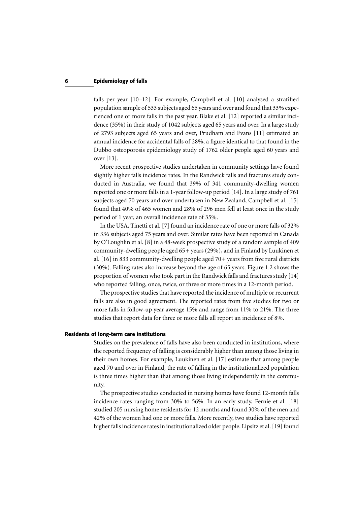falls per year [10–12]. For example, Campbell et al. [10] analysed a stratified population sample of 533 subjects aged 65 years and over and found that 33% experienced one or more falls in the past year. Blake et al. [12] reported a similar incidence (35%) in their study of 1042 subjects aged 65 years and over. In a large study of 2793 subjects aged 65 years and over, Prudham and Evans [11] estimated an annual incidence for accidental falls of 28%, a figure identical to that found in the Dubbo osteoporosis epidemiology study of 1762 older people aged 60 years and over [13].

More recent prospective studies undertaken in community settings have found slightly higher falls incidence rates. In the Randwick falls and fractures study conducted in Australia, we found that 39% of 341 community-dwelling women reported one or more falls in a 1-year follow-up period [14]. In a large study of 761 subjects aged 70 years and over undertaken in New Zealand, Campbell et al. [15] found that 40% of 465 women and 28% of 296 men fell at least once in the study period of 1 year, an overall incidence rate of 35%.

In the USA, Tinetti et al. [7] found an incidence rate of one or more falls of 32% in 336 subjects aged 75 years and over. Similar rates have been reported in Canada by O'Loughlin et al. [8] in a 48-week prospective study of a random sample of 409 community-dwelling people aged 65+ years (29%), and in Finland by Luukinen et al. [16] in 833 community-dwelling people aged 70+ years from five rural districts (30%). Falling rates also increase beyond the age of 65 years. Figure 1.2 shows the proportion of women who took part in the Randwick falls and fractures study [14] who reported falling, once, twice, or three or more times in a 12-month period.

The prospective studies that have reported the incidence of multiple or recurrent falls are also in good agreement. The reported rates from five studies for two or more falls in follow-up year average 15% and range from 11% to 21%. The three studies that report data for three or more falls all report an incidence of 8%.

#### Residents of long-term care institutions

Studies on the prevalence of falls have also been conducted in institutions, where the reported frequency of falling is considerably higher than among those living in their own homes. For example, Luukinen et al. [17] estimate that among people aged 70 and over in Finland, the rate of falling in the institutionalized population is three times higher than that among those living independently in the community.

The prospective studies conducted in nursing homes have found 12-month falls incidence rates ranging from 30% to 56%. In an early study, Fernie et al. [18] studied 205 nursing home residents for 12 months and found 30% of the men and 42% of the women had one or more falls. More recently, two studies have reported higher falls incidence rates in institutionalized older people. Lipsitz et al. [19] found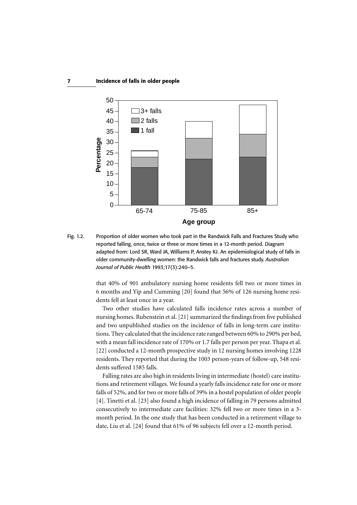#### 7 Incidence of falls in older people



Fig. 1.2. Proportion of older women who took part in the Randwick Falls and Fractures Study who reported falling, once, twice or three or more times in a 12-month period. Diagram adapted from: Lord SR, Ward JA, Williams P, Anstey KJ. An epidemiological study of falls in older community-dwelling women: the Randwick falls and fractures study. *Australian Journal of Public Health* 1993;17(3):240–5.

that 40% of 901 ambulatory nursing home residents fell two or more times in 6 months and Yip and Cumming [20] found that 56% of 126 nursing home residents fell at least once in a year.

Two other studies have calculated falls incidence rates across a number of nursing homes. Rubenstein et al. [21] summarized the findings from five published and two unpublished studies on the incidence of falls in long-term care institutions. They calculated that the incidence rate ranged between 60% to 290% per bed, with a mean fall incidence rate of 170% or 1.7 falls per person per year. Thapa et al. [22] conducted a 12-month prospective study in 12 nursing homes involving 1228 residents. They reported that during the 1003 person-years of follow-up, 548 residents suffered 1585 falls.

Falling rates are also high in residents living in intermediate (hostel) care institutions and retirement villages. We found a yearly falls incidence rate for one or more falls of 52%, and for two or more falls of 39% in a hostel population of older people [4]. Tinetti et al. [23] also found a high incidence of falling in 79 persons admitted consecutively to intermediate care facilities: 32% fell two or more times in a 3 month period. In the one study that has been conducted in a retirement village to date, Liu et al. [24] found that 61% of 96 subjects fell over a 12-month period.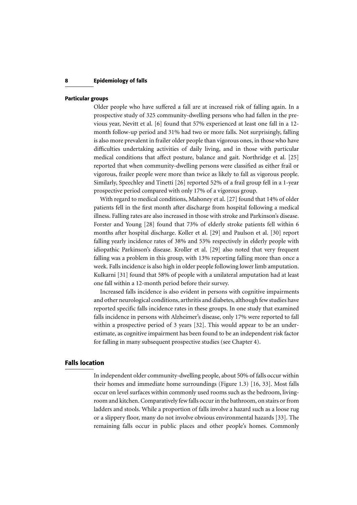#### Particular groups

Older people who have suffered a fall are at increased risk of falling again. In a prospective study of 325 community-dwelling persons who had fallen in the previous year, Nevitt et al. [6] found that 57% experienced at least one fall in a 12 month follow-up period and 31% had two or more falls. Not surprisingly, falling is also more prevalent in frailer older people than vigorous ones, in those who have difficulties undertaking activities of daily living, and in those with particular medical conditions that affect posture, balance and gait. Northridge et al. [25] reported that when community-dwelling persons were classified as either frail or vigorous, frailer people were more than twice as likely to fall as vigorous people. Similarly, Speechley and Tinetti [26] reported 52% of a frail group fell in a 1-year prospective period compared with only 17% of a vigorous group.

With regard to medical conditions, Mahoney et al. [27] found that 14% of older patients fell in the first month after discharge from hospital following a medical illness. Falling rates are also increased in those with stroke and Parkinson's disease. Forster and Young [28] found that 73% of elderly stroke patients fell within 6 months after hospital discharge. Koller et al. [29] and Paulson et al. [30] report falling yearly incidence rates of 38% and 53% respectively in elderly people with idiopathic Parkinson's disease. Kroller et al. [29] also noted that very frequent falling was a problem in this group, with 13% reporting falling more than once a week. Falls incidence is also high in older people following lower limb amputation. Kulkarni [31] found that 58% of people with a unilateral amputation had at least one fall within a 12-month period before their survey.

Increased falls incidence is also evident in persons with cognitive impairments and other neurological conditions, arthritis and diabetes, although few studies have reported specific falls incidence rates in these groups. In one study that examined falls incidence in persons with Alzheimer's disease, only 17% were reported to fall within a prospective period of 3 years [32]. This would appear to be an underestimate, as cognitive impairment has been found to be an independent risk factor for falling in many subsequent prospective studies (see Chapter 4).

#### Falls location

In independent older community-dwelling people, about 50% of falls occur within their homes and immediate home surroundings (Figure 1.3) [16, 33]. Most falls occur on level surfaces within commonly used rooms such as the bedroom, livingroom and kitchen. Comparatively few falls occur in the bathroom, on stairs or from ladders and stools. While a proportion of falls involve a hazard such as a loose rug or a slippery floor, many do not involve obvious environmental hazards [33]. The remaining falls occur in public places and other people's homes. Commonly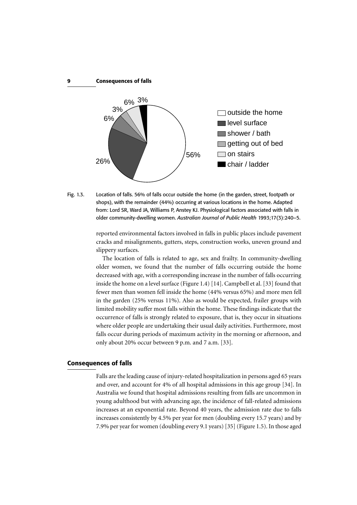

Fig. 1.3. Location of falls. 56% of falls occur outside the home (in the garden, street, footpath or shops), with the remainder (44%) occurring at various locations in the home. Adapted from: Lord SR, Ward JA, Williams P, Anstey KJ. Physiological factors associated with falls in older community-dwelling women. *Australian Journal of Public Health* 1993;17(3):240–5.

> reported environmental factors involved in falls in public places include pavement cracks and misalignments, gutters, steps, construction works, uneven ground and slippery surfaces.

> The location of falls is related to age, sex and frailty. In community-dwelling older women, we found that the number of falls occurring outside the home decreased with age, with a corresponding increase in the number of falls occurring inside the home on a level surface (Figure 1.4) [14]. Campbell et al. [33] found that fewer men than women fell inside the home (44% versus 65%) and more men fell in the garden (25% versus 11%). Also as would be expected, frailer groups with limited mobility suffer most falls within the home. These findings indicate that the occurrence of falls is strongly related to exposure, that is, they occur in situations where older people are undertaking their usual daily activities. Furthermore, most falls occur during periods of maximum activity in the morning or afternoon, and only about 20% occur between 9 p.m. and 7 a.m. [33].

#### Consequences of falls

Falls are the leading cause of injury-related hospitalization in persons aged 65 years and over, and account for 4% of all hospital admissions in this age group [34]. In Australia we found that hospital admissions resulting from falls are uncommon in young adulthood but with advancing age, the incidence of fall-related admissions increases at an exponential rate. Beyond 40 years, the admission rate due to falls increases consistently by 4.5% per year for men (doubling every 15.7 years) and by 7.9% per year for women (doubling every 9.1 years) [35] (Figure 1.5). In those aged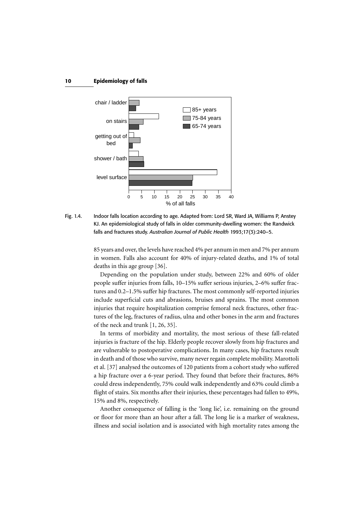

Fig. 1.4. Indoor falls location according to age. Adapted from: Lord SR, Ward JA, Williams P, Anstey KJ. An epidemiological study of falls in older community-dwelling women: the Randwick falls and fractures study. *Australian Journal of Public Health* 1993;17(3):240–5.

85 years and over, the levels have reached 4% per annum in men and 7% per annum in women. Falls also account for 40% of injury-related deaths, and 1% of total deaths in this age group [36].

Depending on the population under study, between 22% and 60% of older people suffer injuries from falls, 10–15% suffer serious injuries, 2–6% suffer fractures and 0.2–1.5% suffer hip fractures. The most commonly self-reported injuries include superficial cuts and abrasions, bruises and sprains. The most common injuries that require hospitalization comprise femoral neck fractures, other fractures of the leg, fractures of radius, ulna and other bones in the arm and fractures of the neck and trunk [1, 26, 35].

In terms of morbidity and mortality, the most serious of these fall-related injuries is fracture of the hip. Elderly people recover slowly from hip fractures and are vulnerable to postoperative complications. In many cases, hip fractures result in death and of those who survive, many never regain complete mobility. Marottoli et al. [37] analysed the outcomes of 120 patients from a cohort study who suffered a hip fracture over a 6-year period. They found that before their fractures, 86% could dress independently, 75% could walk independently and 63% could climb a flight of stairs. Six months after their injuries, these percentages had fallen to 49%, 15% and 8%, respectively.

Another consequence of falling is the 'long lie', i.e. remaining on the ground or floor for more than an hour after a fall. The long lie is a marker of weakness, illness and social isolation and is associated with high mortality rates among the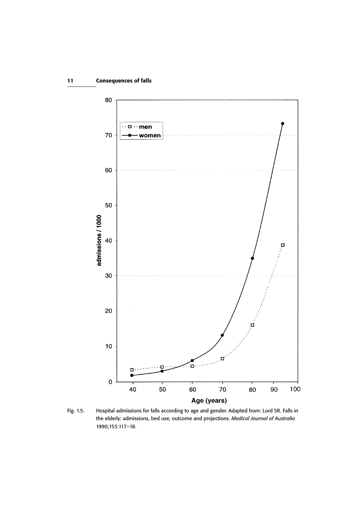



Fig. 1.5. Hospital admissions for falls according to age and gender. Adapted from: Lord SR. Falls in the elderly: admissions, bed use, outcome and projections. *Medical Journal of Australia* 1990;153:117–18.

60

70

Age (years)

90

80

100

 $50$ 

 $\pmb{\mathsf{O}}$ 

40

11 Consequences of falls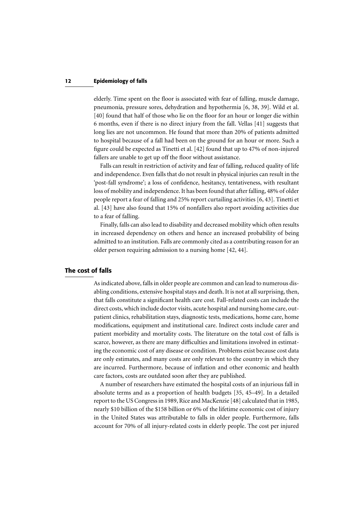elderly. Time spent on the floor is associated with fear of falling, muscle damage, pneumonia, pressure sores, dehydration and hypothermia [6, 38, 39]. Wild et al. [40] found that half of those who lie on the floor for an hour or longer die within 6 months, even if there is no direct injury from the fall. Vellas [41] suggests that long lies are not uncommon. He found that more than 20% of patients admitted to hospital because of a fall had been on the ground for an hour or more. Such a figure could be expected as Tinetti et al. [42] found that up to 47% of non-injured fallers are unable to get up off the floor without assistance.

Falls can result in restriction of activity and fear of falling, reduced quality of life and independence. Even falls that do not result in physical injuries can result in the 'post-fall syndrome'; a loss of confidence, hesitancy, tentativeness, with resultant loss of mobility and independence. It has been found that after falling, 48% of older people report a fear of falling and 25% report curtailing activities [6, 43]. Tinetti et al. [43] have also found that 15% of nonfallers also report avoiding activities due to a fear of falling.

Finally, falls can also lead to disability and decreased mobility which often results in increased dependency on others and hence an increased probability of being admitted to an institution. Falls are commonly cited as a contributing reason for an older person requiring admission to a nursing home [42, 44].

#### The cost of falls

As indicated above, falls in older people are common and can lead to numerous disabling conditions, extensive hospital stays and death. It is not at all surprising, then, that falls constitute a significant health care cost. Fall-related costs can include the direct costs, which include doctor visits, acute hospital and nursing home care, outpatient clinics, rehabilitation stays, diagnostic tests, medications, home care, home modifications, equipment and institutional care. Indirect costs include carer and patient morbidity and mortality costs. The literature on the total cost of falls is scarce, however, as there are many difficulties and limitations involved in estimating the economic cost of any disease or condition. Problems exist because cost data are only estimates, and many costs are only relevant to the country in which they are incurred. Furthermore, because of inflation and other economic and health care factors, costs are outdated soon after they are published.

A number of researchers have estimated the hospital costs of an injurious fall in absolute terms and as a proportion of health budgets [35, 45–49]. In a detailed report to the US Congress in 1989, Rice and MacKenzie [48] calculated that in 1985, nearly \$10 billion of the \$158 billion or 6% of the lifetime economic cost of injury in the United States was attributable to falls in older people. Furthermore, falls account for 70% of all injury-related costs in elderly people. The cost per injured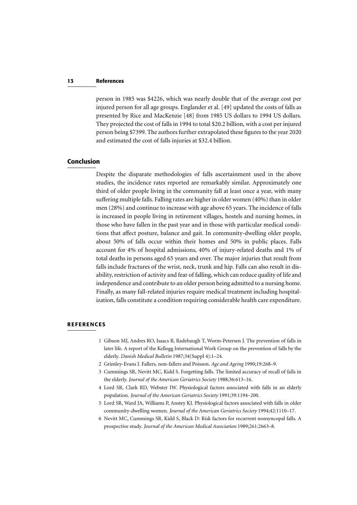#### 13 References

person in 1985 was \$4226, which was nearly double that of the average cost per injured person for all age groups. Englander et al. [49] updated the costs of falls as presented by Rice and MacKenzie [48] from 1985 US dollars to 1994 US dollars. They projected the cost of falls in 1994 to total \$20.2 billion, with a cost per injured person being \$7399. The authors further extrapolated these figures to the year 2020 and estimated the cost of falls injuries at \$32.4 billion.

#### Conclusion

Despite the disparate methodologies of falls ascertainment used in the above studies, the incidence rates reported are remarkably similar. Approximately one third of older people living in the community fall at least once a year, with many suffering multiple falls. Falling rates are higher in older women (40%) than in older men (28%) and continue to increase with age above 65 years. The incidence of falls is increased in people living in retirement villages, hostels and nursing homes, in those who have fallen in the past year and in those with particular medical conditions that affect posture, balance and gait. In community-dwelling older people, about 50% of falls occur within their homes and 50% in public places. Falls account for 4% of hospital admissions, 40% of injury-related deaths and 1% of total deaths in persons aged 65 years and over. The major injuries that result from falls include fractures of the wrist, neck, trunk and hip. Falls can also result in disability, restriction of activity and fear of falling, which can reduce quality of life and independence and contribute to an older person being admitted to a nursing home. Finally, as many fall-related injuries require medical treatment including hospitalization, falls constitute a condition requiring considerable health care expenditure.

#### REFERENCES

- 1 Gibson MJ, Andres RO, Isaacs B, Radebaugh T, Worm-Petersen J. The prevention of falls in later life. A report of the Kellogg International Work Group on the prevention of falls by the elderly. *Danish Medical Bulletin* 1987;34(Suppl 4):1–24.
- 2 Grimley-Evans J. Fallers, non-fallers and Poisson. *Age and Ageing* 1990;19:268–9.
- 3 Cummings SR, Nevitt MC, Kidd S. Forgetting falls. The limited accuracy of recall of falls in the elderly. *Journal of the American Geriatrics Society* 1988;36:613–16.
- 4 Lord SR, Clark RD, Webster IW. Physiological factors associated with falls in an elderly population. *Journal of the American Geriatrics Society* 1991;39:1194–200.
- 5 Lord SR, Ward JA, Williams P, Anstey KJ. Physiological factors associated with falls in older community-dwelling women. *Journal of the American Geriatrics Society* 1994;42:1110–17.
- 6 Nevitt MC, Cummings SR, Kidd S, Black D: Risk factors for recurrent nonsyncopal falls. A prospective study. *Journal of the American Medical Association* 1989;261:2663–8.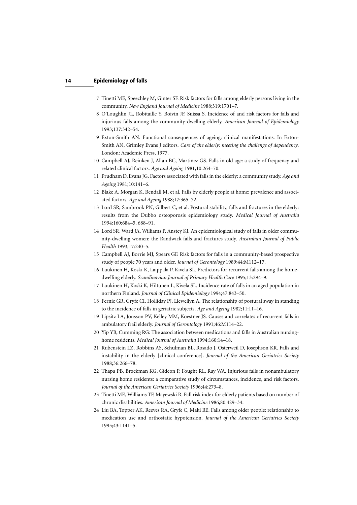- 7 Tinetti ME, Speechley M, Ginter SF. Risk factors for falls among elderly persons living in the community. *New England Journal of Medicine* 1988;319:1701–7.
- 8 O'Loughlin JL, Robitaille Y, Boivin JF, Suissa S. Incidence of and risk factors for falls and injurious falls among the community-dwelling elderly. *American Journal of Epidemiology* 1993;137:342–54.
- 9 Exton-Smith AN. Functional consequences of ageing: clinical manifestations. In Exton-Smith AN, Grimley Evans J editors. *Care of the elderly: meeting the challenge of dependency*. London: Academic Press, 1977.
- 10 Campbell AJ, Reinken J, Allan BC, Martinez GS. Falls in old age: a study of frequency and related clinical factors. *Age and Ageing* 1981;10:264–70.
- 11 Prudham D, Evans JG. Factors associated with falls in the elderly: a community study. *Age and Ageing* 1981;10:141–6.
- 12 Blake A, Morgan K, Bendall M, et al. Falls by elderly people at home: prevalence and associated factors. *Age and Ageing* 1988;17:365–72.
- 13 Lord SR, Sambrook PN, Gilbert C, et al. Postural stability, falls and fractures in the elderly: results from the Dubbo osteoporosis epidemiology study. *Medical Journal of Australia* 1994;160:684–5, 688–91.
- 14 Lord SR, Ward JA, Williams P, Anstey KJ. An epidemiological study of falls in older community-dwelling women: the Randwick falls and fractures study. *Australian Journal of Public Health* 1993;17:240–5.
- 15 Campbell AJ, Borrie MJ, Spears GF. Risk factors for falls in a community-based prospective study of people 70 years and older. *Journal of Gerontology* 1989;44:M112–17.
- 16 Luukinen H, Koski K, Laippala P, Kivela SL. Predictors for recurrent falls among the homedwelling elderly. *Scandinavian Journal of Primary Health Care* 1995;13:294–9.
- 17 Luukinen H, Koski K, Hiltunen L, Kivela SL. Incidence rate of falls in an aged population in northern Finland. *Journal of Clinical Epidemiology* 1994;47:843–50.
- 18 Fernie GR, Gryfe CI, Holliday PJ, Llewellyn A. The relationship of postural sway in standing to the incidence of falls in geriatric subjects. *Age and Ageing* 1982;11:11–16.
- 19 Lipsitz LA, Jonsson PV, Kelley MM, Koestner JS. Causes and correlates of recurrent falls in ambulatory frail elderly. *Journal of Gerontology* 1991;46:M114–22.
- 20 Yip YB, Cumming RG: The association between medications and falls in Australian nursinghome residents. *Medical Journal of Australia* 1994;160:14–18.
- 21 Rubenstein LZ, Robbins AS, Schulman BL, Rosado J, Osterweil D, Josephson KR. Falls and instability in the elderly [clinical conference]. *Journal of the American Geriatrics Society* 1988;36:266–78.
- 22 Thapa PB, Brockman KG, Gideon P, Fought RL, Ray WA. Injurious falls in nonambulatory nursing home residents: a comparative study of circumstances, incidence, and risk factors. *Journal of the American Geriatrics Society* 1996;44:273–8.
- 23 Tinetti ME, Williams TF, Mayewski R. Fall risk index for elderly patients based on number of chronic disabilities. *American Journal of Medicine* 1986;80:429–34.
- 24 Liu BA, Topper AK, Reeves RA, Gryfe C, Maki BE. Falls among older people: relationship to medication use and orthostatic hypotension. *Journal of the American Geriatrics Society* 1995;43:1141–5.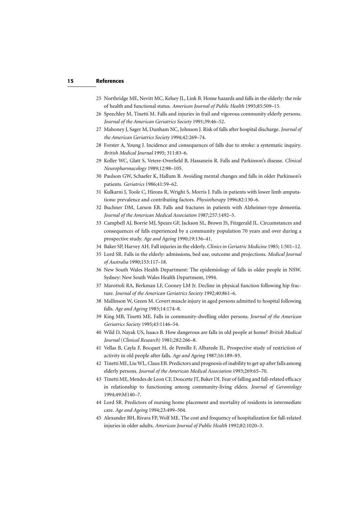- 25 Northridge ME, Nevitt MC, Kelsey JL, Link B. Home hazards and falls in the elderly: the role of health and functional status. *American Journal of Public Health* 1995;85:509–15.
- 26 Speechley M, Tinetti M. Falls and injuries in frail and vigorous community elderly persons. *Journal of the American Geriatrics Society* 1991;39:46–52.
- 27 Mahoney J, Sager M, Dunham NC, Johnson J. Risk of falls after hospital discharge. *Journal of the American Geriatrics Society* 1994;42:269–74.
- 28 Forster A, Young J. Incidence and consequences of falls due to stroke: a systematic inquiry. *British Medical Journal* 1995; 311:83–6.
- 29 Koller WC, Glatt S, Vetere-Overfield B, Hassanein R. Falls and Parkinson's disease. *Clinical Neuropharmacology* 1989;12:98–105.
- 30 Paulson GW, Schaefer K, Hallum B. Avoiding mental changes and falls in older Parkinson's patients. *Geriatrics* 1986;41:59–62.
- 31 Kulkarni J, Toole C, Hirons R, Wright S, Morris J. Falls in patients with lower limb amputations: prevalence and contributing factors. *Physiotherapy* 1996;82:130–6.
- 32 Buchner DM, Larson EB. Falls and fractures in patients with Alzheimer-type dementia. *Journal of the American Medical Association* 1987;257:1492–5.
- 33 Campbell AJ, Borrie MJ, Spears GF, Jackson SL, Brown JS, Fitzgerald JL. Circumstances and consequences of falls experienced by a community population 70 years and over during a prospective study. *Age and Ageing* 1990;19:136–41.
- 34 Baker SP, Harvey AH. Fall injuries in the elderly. *Clinics in Geriatric Medicine* 1985; 1:501–12.
- 35 Lord SR. Falls in the elderly: admissions, bed use, outcome and projections. *Medical Journal of Australia* 1990;153:117–18.
- 36 New South Wales Health Department: The epidemiology of falls in older people in NSW. Sydney: New South Wales Health Department, 1994.
- 37 Marottoli RA, Berkman LF, Cooney LM Jr. Decline in physical function following hip fracture. *Journal of the American Geriatrics Society* 1992;40:861–6.
- 38 Mallinson W, Green M. Covert muscle injury in aged persons admitted to hospital following falls. *Age and Ageing* 1985;14:174–8.
- 39 King MB, Tinetti ME. Falls in community-dwelling older persons. *Journal of the American Geriatrics Society* 1995;43:1146–54.
- 40 Wild D, Nayak US, Isaacs B. How dangerous are falls in old people at home? *British Medical Journal* (*Clinical Research*) 1981;282:266–8.
- 41 Vellas B, Cayla F, Bocquet H, de Pemille F, Albarede JL. Prospective study of restriction of activity in old people after falls. *Age and Ageing* 1987;16:189–93.
- 42 Tinetti ME, Liu WL, Claus EB. Predictors and prognosis of inability to get up after falls among elderly persons. *Journal of the American Medical Association* 1993;269:65–70.
- 43 Tinetti ME, Mendes de Leon CF, Doucette JT, Baker DI. Fear of falling and fall-related efficacy in relationship to functioning among community-living elders. *Journal of Gerontology* 1994;49:M140–7.
- 44 Lord SR. Predictors of nursing home placement and mortality of residents in intermediate care. *Age and Ageing* 1994;23:499–504.
- 45 Alexander BH, Rivara FP, Wolf ME. The cost and frequency of hospitalization for fall-related injuries in older adults. *American Journal of Public Health* 1992;82:1020–3.